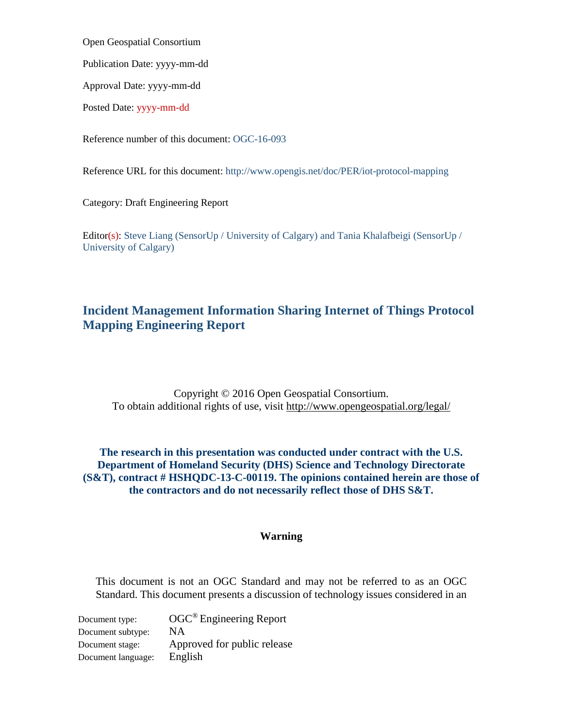<span id="page-0-0"></span>Open Geospatial Consortium

Publication Date: yyyy-mm-dd

Approval Date: yyyy-mm-dd

Posted Date: yyyy-mm-dd

Reference number of this document: OGC-16-093

Reference URL for this document: http://www.opengis.net/doc/PER/iot-protocol-mapping

Category: Draft Engineering Report

Editor(s): Steve Liang (SensorUp / University of Calgary) and Tania Khalafbeigi (SensorUp / University of Calgary)

## <span id="page-0-1"></span>**Incident Management Information Sharing Internet of Things Protocol Mapping Engineering Report**

Copyright © 2016 Open Geospatial Consortium. To obtain additional rights of use, visit<http://www.opengeospatial.org/legal/>

### **The research in this presentation was conducted under contract with the U.S. Department of Homeland Security (DHS) Science and Technology Directorate (S&T), contract # HSHQDC-13-C-00119. The opinions contained herein are those of the contractors and do not necessarily reflect those of DHS S&T.**

### **Warning**

This document is not an OGC Standard and may not be referred to as an OGC Standard. This document presents a discussion of technology issues considered in an

Document type: OGC<sup>®</sup> Engineering Report Document subtype: NA Document stage: Approved for public release Document language: English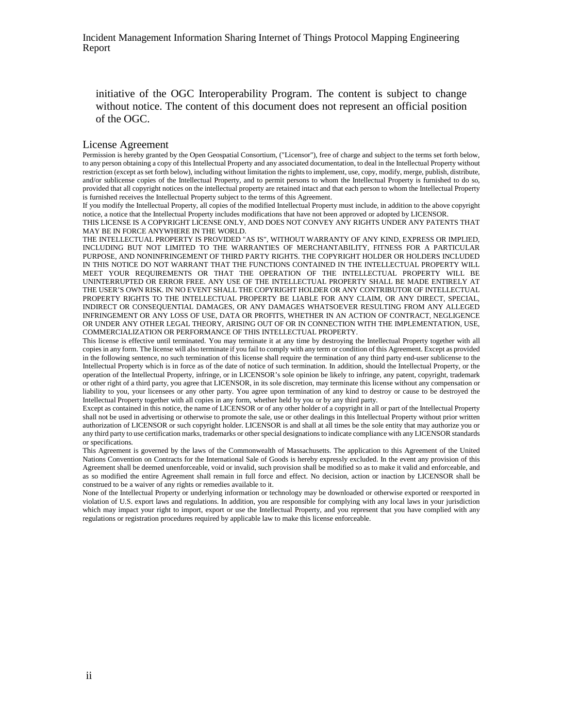initiative of the OGC Interoperability Program. The content is subject to change without notice. The content of this document does not represent an official position of the OGC.

#### License Agreement

Permission is hereby granted by the Open Geospatial Consortium, ("Licensor"), free of charge and subject to the terms set forth below, to any person obtaining a copy of this Intellectual Property and any associated documentation, to deal in the Intellectual Property without restriction (except as set forth below), including without limitation the rights to implement, use, copy, modify, merge, publish, distribute, and/or sublicense copies of the Intellectual Property, and to permit persons to whom the Intellectual Property is furnished to do so, provided that all copyright notices on the intellectual property are retained intact and that each person to whom the Intellectual Property is furnished receives the Intellectual Property subject to the terms of this Agreement.

If you modify the Intellectual Property, all copies of the modified Intellectual Property must include, in addition to the above copyright notice, a notice that the Intellectual Property includes modifications that have not been approved or adopted by LICENSOR.

THIS LICENSE IS A COPYRIGHT LICENSE ONLY, AND DOES NOT CONVEY ANY RIGHTS UNDER ANY PATENTS THAT MAY BE IN FORCE ANYWHERE IN THE WORLD.

THE INTELLECTUAL PROPERTY IS PROVIDED "AS IS", WITHOUT WARRANTY OF ANY KIND, EXPRESS OR IMPLIED, INCLUDING BUT NOT LIMITED TO THE WARRANTIES OF MERCHANTABILITY, FITNESS FOR A PARTICULAR PURPOSE, AND NONINFRINGEMENT OF THIRD PARTY RIGHTS. THE COPYRIGHT HOLDER OR HOLDERS INCLUDED IN THIS NOTICE DO NOT WARRANT THAT THE FUNCTIONS CONTAINED IN THE INTELLECTUAL PROPERTY WILL MEET YOUR REQUIREMENTS OR THAT THE OPERATION OF THE INTELLECTUAL PROPERTY WILL BE UNINTERRUPTED OR ERROR FREE. ANY USE OF THE INTELLECTUAL PROPERTY SHALL BE MADE ENTIRELY AT THE USER'S OWN RISK. IN NO EVENT SHALL THE COPYRIGHT HOLDER OR ANY CONTRIBUTOR OF INTELLECTUAL PROPERTY RIGHTS TO THE INTELLECTUAL PROPERTY BE LIABLE FOR ANY CLAIM, OR ANY DIRECT, SPECIAL, INDIRECT OR CONSEQUENTIAL DAMAGES, OR ANY DAMAGES WHATSOEVER RESULTING FROM ANY ALLEGED INFRINGEMENT OR ANY LOSS OF USE, DATA OR PROFITS, WHETHER IN AN ACTION OF CONTRACT, NEGLIGENCE OR UNDER ANY OTHER LEGAL THEORY, ARISING OUT OF OR IN CONNECTION WITH THE IMPLEMENTATION, USE, COMMERCIALIZATION OR PERFORMANCE OF THIS INTELLECTUAL PROPERTY.

This license is effective until terminated. You may terminate it at any time by destroying the Intellectual Property together with all copies in any form. The license will also terminate if you fail to comply with any term or condition of this Agreement. Except as provided in the following sentence, no such termination of this license shall require the termination of any third party end-user sublicense to the Intellectual Property which is in force as of the date of notice of such termination. In addition, should the Intellectual Property, or the operation of the Intellectual Property, infringe, or in LICENSOR's sole opinion be likely to infringe, any patent, copyright, trademark or other right of a third party, you agree that LICENSOR, in its sole discretion, may terminate this license without any compensation or liability to you, your licensees or any other party. You agree upon termination of any kind to destroy or cause to be destroyed the Intellectual Property together with all copies in any form, whether held by you or by any third party.

Except as contained in this notice, the name of LICENSOR or of any other holder of a copyright in all or part of the Intellectual Property shall not be used in advertising or otherwise to promote the sale, use or other dealings in this Intellectual Property without prior written authorization of LICENSOR or such copyright holder. LICENSOR is and shall at all times be the sole entity that may authorize you or any third party to use certification marks, trademarks or other special designations to indicate compliance with any LICENSOR standards or specifications.

This Agreement is governed by the laws of the Commonwealth of Massachusetts. The application to this Agreement of the United Nations Convention on Contracts for the International Sale of Goods is hereby expressly excluded. In the event any provision of this Agreement shall be deemed unenforceable, void or invalid, such provision shall be modified so as to make it valid and enforceable, and as so modified the entire Agreement shall remain in full force and effect. No decision, action or inaction by LICENSOR shall be construed to be a waiver of any rights or remedies available to it.

None of the Intellectual Property or underlying information or technology may be downloaded or otherwise exported or reexported in violation of U.S. export laws and regulations. In addition, you are responsible for complying with any local laws in your jurisdiction which may impact your right to import, export or use the Intellectual Property, and you represent that you have complied with any regulations or registration procedures required by applicable law to make this license enforceable.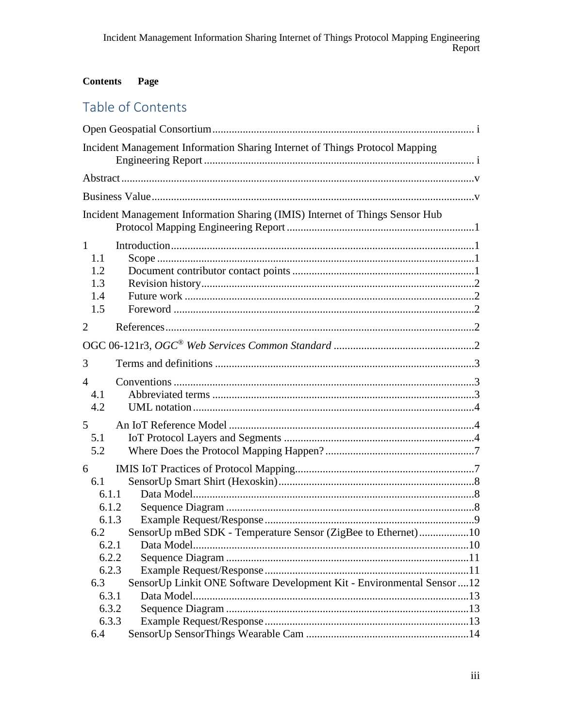#### **Contents** Page

# Table of Contents

|                                                                  | Incident Management Information Sharing Internet of Things Protocol Mapping  |  |
|------------------------------------------------------------------|------------------------------------------------------------------------------|--|
|                                                                  |                                                                              |  |
|                                                                  |                                                                              |  |
|                                                                  | Incident Management Information Sharing (IMIS) Internet of Things Sensor Hub |  |
| $\mathbf{1}$<br>1.1<br>1.2<br>1.3<br>1.4<br>1.5                  |                                                                              |  |
| $\overline{2}$                                                   |                                                                              |  |
|                                                                  |                                                                              |  |
| 3                                                                |                                                                              |  |
| $\overline{4}$<br>4.1<br>4.2<br>5                                |                                                                              |  |
| 5.1<br>5.2                                                       |                                                                              |  |
| 6<br>6.1<br>6.1.1<br>6.1.2<br>6.1.3<br>6.2                       | SensorUp mBed SDK - Temperature Sensor (ZigBee to Ethernet)10                |  |
| 6.2.1<br>6.2.2<br>6.2.3<br>6.3<br>6.3.1<br>6.3.2<br>6.3.3<br>6.4 | SensorUp Linkit ONE Software Development Kit - Environmental Sensor  12      |  |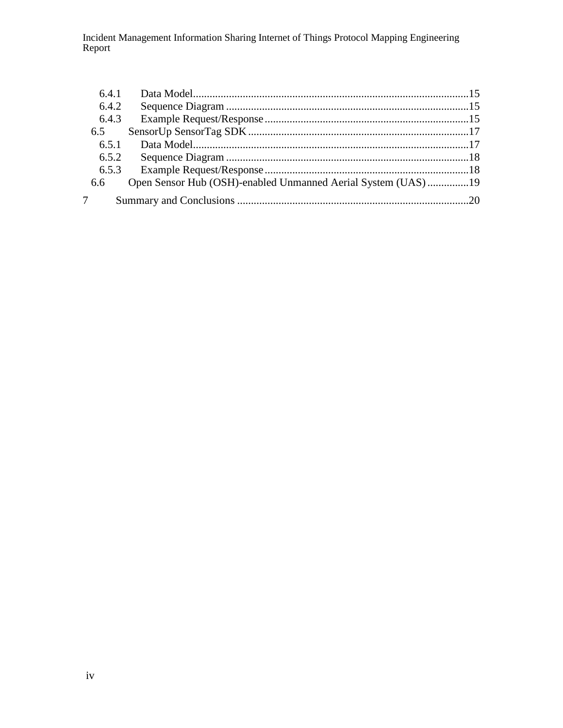| 6.4.1 |                                                              |  |
|-------|--------------------------------------------------------------|--|
| 6.4.2 |                                                              |  |
| 6.4.3 |                                                              |  |
| 6.5   |                                                              |  |
| 6.5.1 |                                                              |  |
| 6.5.2 |                                                              |  |
| 6.5.3 |                                                              |  |
| 6.6   | Open Sensor Hub (OSH)-enabled Unmanned Aerial System (UAS)19 |  |
|       |                                                              |  |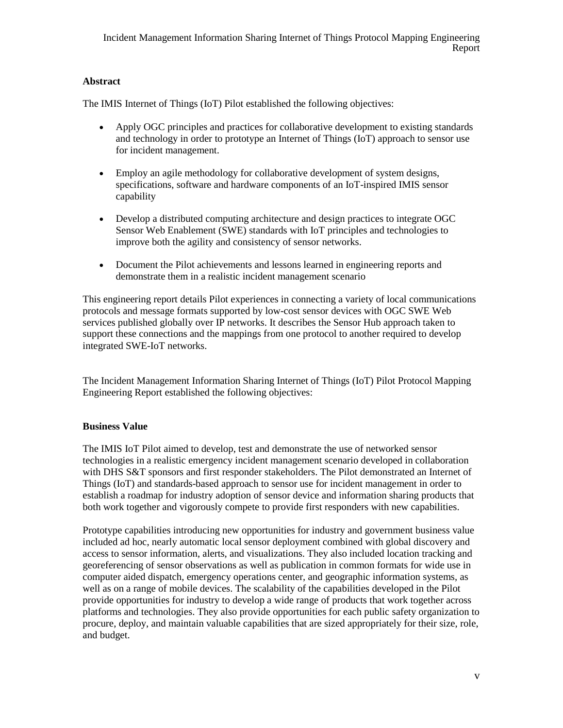### <span id="page-4-0"></span>**Abstract**

The IMIS Internet of Things (IoT) Pilot established the following objectives:

- Apply OGC principles and practices for collaborative development to existing standards and technology in order to prototype an Internet of Things (IoT) approach to sensor use for incident management.
- Employ an agile methodology for collaborative development of system designs, specifications, software and hardware components of an IoT-inspired IMIS sensor capability
- Develop a distributed computing architecture and design practices to integrate OGC Sensor Web Enablement (SWE) standards with IoT principles and technologies to improve both the agility and consistency of sensor networks.
- Document the Pilot achievements and lessons learned in engineering reports and demonstrate them in a realistic incident management scenario

This engineering report details Pilot experiences in connecting a variety of local communications protocols and message formats supported by low-cost sensor devices with OGC SWE Web services published globally over IP networks. It describes the Sensor Hub approach taken to support these connections and the mappings from one protocol to another required to develop integrated SWE-IoT networks.

<span id="page-4-1"></span>The Incident Management Information Sharing Internet of Things (IoT) Pilot Protocol Mapping Engineering Report established the following objectives:

### **Business Value**

The IMIS IoT Pilot aimed to develop, test and demonstrate the use of networked sensor technologies in a realistic emergency incident management scenario developed in collaboration with DHS S&T sponsors and first responder stakeholders. The Pilot demonstrated an Internet of Things (IoT) and standards-based approach to sensor use for incident management in order to establish a roadmap for industry adoption of sensor device and information sharing products that both work together and vigorously compete to provide first responders with new capabilities.

Prototype capabilities introducing new opportunities for industry and government business value included ad hoc, nearly automatic local sensor deployment combined with global discovery and access to sensor information, alerts, and visualizations. They also included location tracking and georeferencing of sensor observations as well as publication in common formats for wide use in computer aided dispatch, emergency operations center, and geographic information systems, as well as on a range of mobile devices. The scalability of the capabilities developed in the Pilot provide opportunities for industry to develop a wide range of products that work together across platforms and technologies. They also provide opportunities for each public safety organization to procure, deploy, and maintain valuable capabilities that are sized appropriately for their size, role, and budget.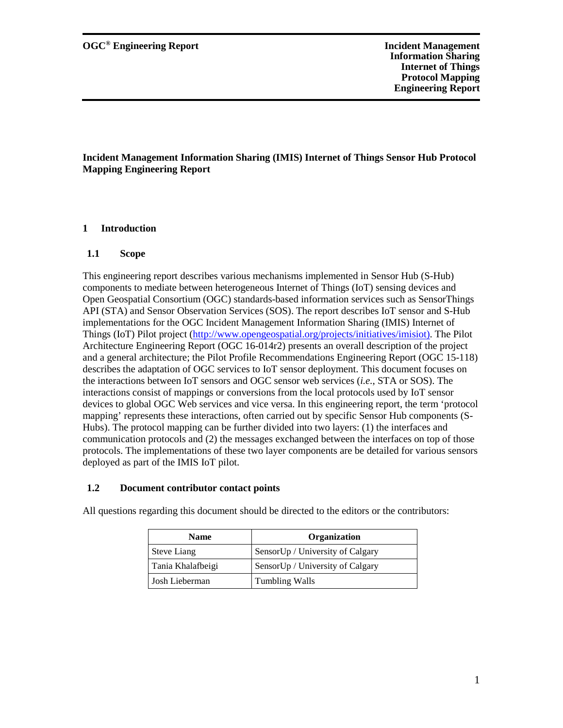#### <span id="page-6-1"></span><span id="page-6-0"></span>**1 Introduction**

#### <span id="page-6-2"></span>**1.1 Scope**

This engineering report describes various mechanisms implemented in Sensor Hub (S-Hub) components to mediate between heterogeneous Internet of Things (IoT) sensing devices and Open Geospatial Consortium (OGC) standards-based information services such as SensorThings API (STA) and Sensor Observation Services (SOS). The report describes IoT sensor and S-Hub implementations for the OGC Incident Management Information Sharing (IMIS) Internet of Things (IoT) Pilot project [\(http://www.opengeospatial.org/projects/initiatives/imisiot\).](http://www.opengeospatial.org/projects/initiatives/imisiot)) The Pilot Architecture Engineering Report (OGC 16-014r2) presents an overall description of the project and a general architecture; the Pilot Profile Recommendations Engineering Report (OGC 15-118) describes the adaptation of OGC services to IoT sensor deployment. This document focuses on the interactions between IoT sensors and OGC sensor web services (*i.e.*, STA or SOS). The interactions consist of mappings or conversions from the local protocols used by IoT sensor devices to global OGC Web services and vice versa. In this engineering report, the term 'protocol mapping' represents these interactions, often carried out by specific Sensor Hub components (S-Hubs). The protocol mapping can be further divided into two layers: (1) the interfaces and communication protocols and (2) the messages exchanged between the interfaces on top of those protocols. The implementations of these two layer components are be detailed for various sensors deployed as part of the IMIS IoT pilot.

#### <span id="page-6-3"></span>**1.2 Document contributor contact points**

| <b>Name</b>        | Organization                     |
|--------------------|----------------------------------|
| <b>Steve Liang</b> | SensorUp / University of Calgary |
| Tania Khalafbeigi  | SensorUp / University of Calgary |
| Josh Lieberman     | Tumbling Walls                   |

All questions regarding this document should be directed to the editors or the contributors: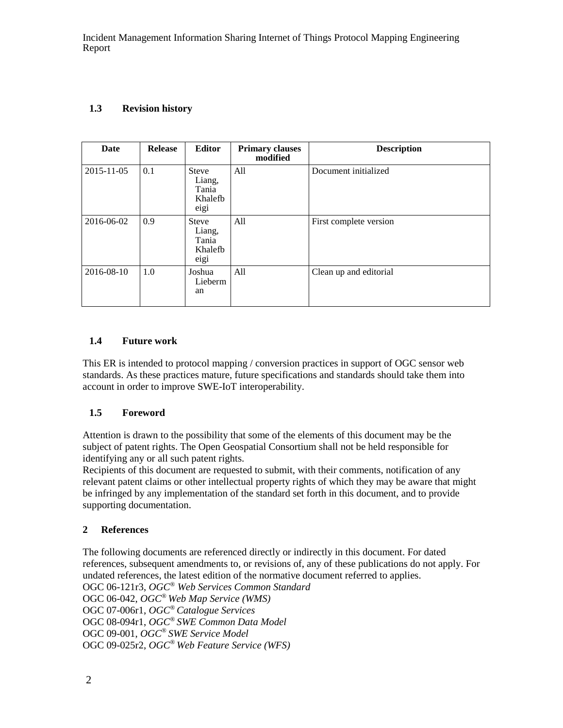### <span id="page-7-0"></span>**1.3 Revision history**

| Date       | <b>Release</b> | <b>Editor</b>                                      | <b>Primary clauses</b><br>modified | <b>Description</b>     |
|------------|----------------|----------------------------------------------------|------------------------------------|------------------------|
| 2015-11-05 | 0.1            | <b>Steve</b><br>Liang,<br>Tania<br>Khalefb<br>eigi | All                                | Document initialized   |
| 2016-06-02 | 0.9            | <b>Steve</b><br>Liang,<br>Tania<br>Khalefb<br>eigi | All                                | First complete version |
| 2016-08-10 | 1.0            | Joshua<br>Lieberm<br>an                            | All                                | Clean up and editorial |

### <span id="page-7-1"></span>**1.4 Future work**

This ER is intended to protocol mapping / conversion practices in support of OGC sensor web standards. As these practices mature, future specifications and standards should take them into account in order to improve SWE-IoT interoperability.

### <span id="page-7-2"></span>**1.5 Foreword**

Attention is drawn to the possibility that some of the elements of this document may be the subject of patent rights. The Open Geospatial Consortium shall not be held responsible for identifying any or all such patent rights.

Recipients of this document are requested to submit, with their comments, notification of any relevant patent claims or other intellectual property rights of which they may be aware that might be infringed by any implementation of the standard set forth in this document, and to provide supporting documentation.

### <span id="page-7-3"></span>**2 References**

<span id="page-7-4"></span>The following documents are referenced directly or indirectly in this document. For dated references, subsequent amendments to, or revisions of, any of these publications do not apply. For undated references, the latest edition of the normative document referred to applies. OGC 06-121r3, *OGC® Web Services Common Standard*  OGC 06-042, *OGC® Web Map Service (WMS)* OGC 07-006r1, *OGC® Catalogue Services* OGC 08-094r1, *OGC® SWE Common Data Model* OGC 09-001, *OGC® SWE Service Model*  OGC 09-025r2, *OGC® Web Feature Service (WFS)*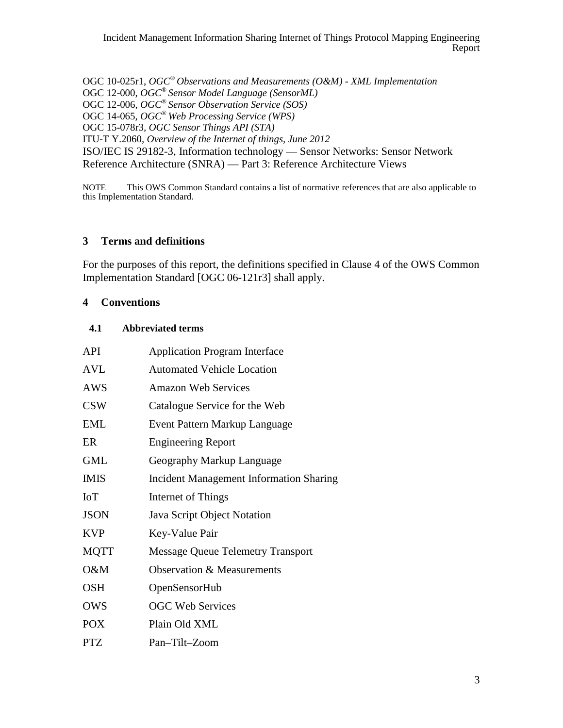OGC 10-025r1, *OGC® Observations and Measurements (O&M) - XML Implementation* OGC 12-000, *OGC® Sensor Model Language (SensorML)* OGC 12-006, *OGC® Sensor Observation Service (SOS)* OGC 14-065, *OGC® Web Processing Service (WPS)* OGC 15-078r3*, OGC Sensor Things API (STA)* ITU-T Y.2060*, Overview of the Internet of things, June 2012* ISO/IEC IS 29182-3, Information technology — Sensor Networks: Sensor Network Reference Architecture (SNRA) — Part 3: Reference Architecture Views

NOTE This OWS Common Standard contains a list of normative references that are also applicable to this Implementation Standard.

### <span id="page-8-0"></span>**3 Terms and definitions**

For the purposes of this report, the definitions specified in Clause 4 of the OWS Common Implementation Standard [OGC 06-121r3] shall apply.

#### <span id="page-8-1"></span>**4 Conventions**

#### <span id="page-8-2"></span>**4.1 Abbreviated terms**

| <b>API</b>  | <b>Application Program Interface</b>           |
|-------------|------------------------------------------------|
| <b>AVL</b>  | <b>Automated Vehicle Location</b>              |
| <b>AWS</b>  | <b>Amazon Web Services</b>                     |
| <b>CSW</b>  | Catalogue Service for the Web                  |
| <b>EML</b>  | Event Pattern Markup Language                  |
| ER          | <b>Engineering Report</b>                      |
| <b>GML</b>  | Geography Markup Language                      |
| <b>IMIS</b> | <b>Incident Management Information Sharing</b> |
| <b>IoT</b>  | Internet of Things                             |
| <b>JSON</b> | Java Script Object Notation                    |
| <b>KVP</b>  | Key-Value Pair                                 |
| <b>MQTT</b> | <b>Message Queue Telemetry Transport</b>       |
| O&M         | <b>Observation &amp; Measurements</b>          |
| <b>OSH</b>  | OpenSensorHub                                  |
| <b>OWS</b>  | <b>OGC Web Services</b>                        |
| <b>POX</b>  | Plain Old XML                                  |
| <b>PTZ</b>  | Pan-Tilt-Zoom                                  |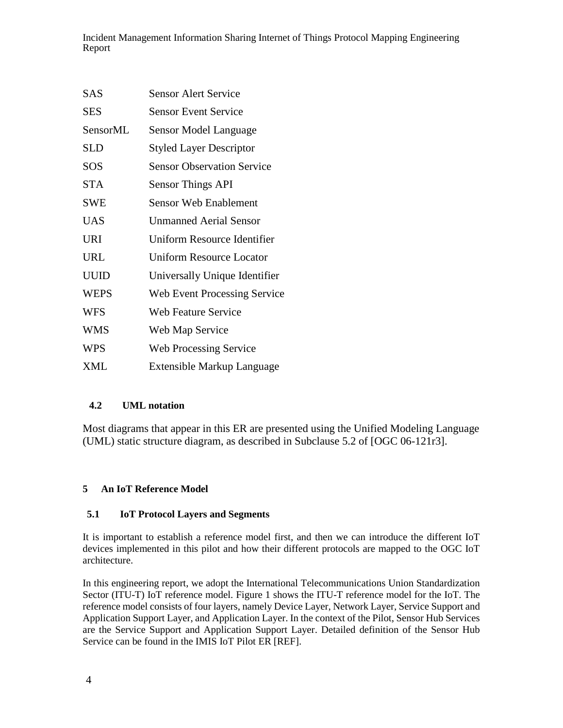| <b>SAS</b>  | Sensor Alert Service              |
|-------------|-----------------------------------|
| <b>SES</b>  | <b>Sensor Event Service</b>       |
| SensorML    | Sensor Model Language             |
| <b>SLD</b>  | <b>Styled Layer Descriptor</b>    |
| SOS         | <b>Sensor Observation Service</b> |
| <b>STA</b>  | <b>Sensor Things API</b>          |
| <b>SWE</b>  | <b>Sensor Web Enablement</b>      |
| <b>UAS</b>  | <b>Unmanned Aerial Sensor</b>     |
| <b>URI</b>  | Uniform Resource Identifier       |
| <b>URL</b>  | <b>Uniform Resource Locator</b>   |
| <b>UUID</b> | Universally Unique Identifier     |
| <b>WEPS</b> | Web Event Processing Service      |
| <b>WFS</b>  | <b>Web Feature Service</b>        |
| <b>WMS</b>  | Web Map Service                   |
| <b>WPS</b>  | <b>Web Processing Service</b>     |
| <b>XML</b>  | <b>Extensible Markup Language</b> |

### <span id="page-9-0"></span>**4.2 UML notation**

Most diagrams that appear in this ER are presented using the Unified Modeling Language (UML) static structure diagram, as described in Subclause 5.2 of [OGC 06-121r3].

### <span id="page-9-1"></span>**5 An IoT Reference Model**

### <span id="page-9-2"></span>**5.1 IoT Protocol Layers and Segments**

It is important to establish a reference model first, and then we can introduce the different IoT devices implemented in this pilot and how their different protocols are mapped to the OGC IoT architecture.

In this engineering report, we adopt the International Telecommunications Union Standardization Sector (ITU-T) IoT reference model. Figure 1 shows the ITU-T reference model for the IoT. The reference model consists of four layers, namely Device Layer, Network Layer, Service Support and Application Support Layer, and Application Layer. In the context of the Pilot, Sensor Hub Services are the Service Support and Application Support Layer. Detailed definition of the Sensor Hub Service can be found in the IMIS IoT Pilot ER [REF].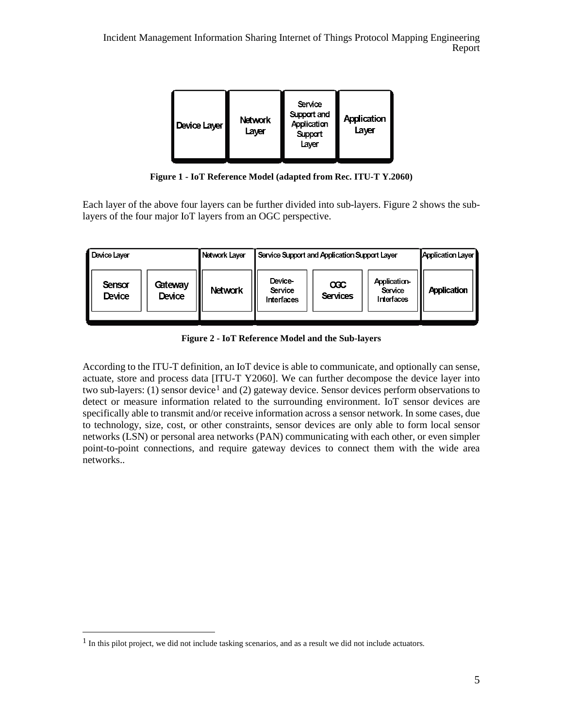

**Figure 1 - IoT Reference Model (adapted from Rec. ITU-T Y.2060)**

Each layer of the above four layers can be further divided into sub-layers. Figure 2 shows the sublayers of the four major IoT layers from an OGC perspective.

| Device Laver     |                   | Network Layer  | Service Support and Application Support Layer |                             | Application Layer                     |                    |
|------------------|-------------------|----------------|-----------------------------------------------|-----------------------------|---------------------------------------|--------------------|
| Sensor<br>Device | Gateway<br>Device | <b>Network</b> | Device-<br>Service<br><b>Interfaces</b>       | $\infty$<br><b>Services</b> | Application-<br>Service<br>Interfaces | <b>Application</b> |

**Figure 2 - IoT Reference Model and the Sub-layers**

According to the ITU-T definition, an IoT device is able to communicate, and optionally can sense, actuate, store and process data [ITU-T Y2060]. We can further decompose the device layer into two sub-layers: ([1](#page-10-0)) sensor device<sup>1</sup> and (2) gateway device. Sensor devices perform observations to detect or measure information related to the surrounding environment. IoT sensor devices are specifically able to transmit and/or receive information across a sensor network. In some cases, due to technology, size, cost, or other constraints, sensor devices are only able to form local sensor networks (LSN) or personal area networks (PAN) communicating with each other, or even simpler point-to-point connections, and require gateway devices to connect them with the wide area networks..

<span id="page-10-0"></span> $<sup>1</sup>$  In this pilot project, we did not include tasking scenarios, and as a result we did not include actuators.</sup>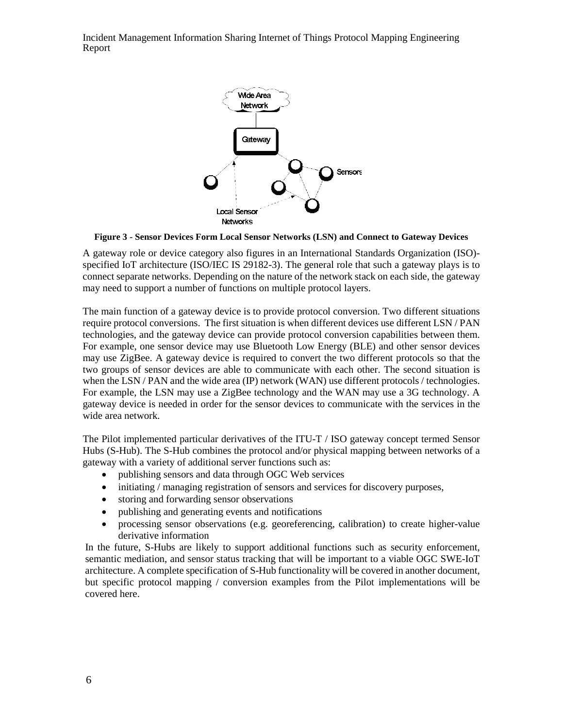

#### **Figure 3 - Sensor Devices Form Local Sensor Networks (LSN) and Connect to Gateway Devices**

A gateway role or device category also figures in an International Standards Organization (ISO) specified IoT architecture (ISO/IEC IS 29182-3). The general role that such a gateway plays is to connect separate networks. Depending on the nature of the network stack on each side, the gateway may need to support a number of functions on multiple protocol layers.

The main function of a gateway device is to provide protocol conversion. Two different situations require protocol conversions. The first situation is when different devices use different LSN / PAN technologies, and the gateway device can provide protocol conversion capabilities between them. For example, one sensor device may use Bluetooth Low Energy (BLE) and other sensor devices may use ZigBee. A gateway device is required to convert the two different protocols so that the two groups of sensor devices are able to communicate with each other. The second situation is when the LSN / PAN and the wide area (IP) network (WAN) use different protocols / technologies. For example, the LSN may use a ZigBee technology and the WAN may use a 3G technology. A gateway device is needed in order for the sensor devices to communicate with the services in the wide area network.

The Pilot implemented particular derivatives of the ITU-T / ISO gateway concept termed Sensor Hubs (S-Hub). The S-Hub combines the protocol and/or physical mapping between networks of a gateway with a variety of additional server functions such as:

- publishing sensors and data through OGC Web services
- initiating / managing registration of sensors and services for discovery purposes,
- storing and forwarding sensor observations
- publishing and generating events and notifications
- processing sensor observations (e.g. georeferencing, calibration) to create higher-value derivative information

In the future, S-Hubs are likely to support additional functions such as security enforcement, semantic mediation, and sensor status tracking that will be important to a viable OGC SWE-IoT architecture. A complete specification of S-Hub functionality will be covered in another document, but specific protocol mapping / conversion examples from the Pilot implementations will be covered here.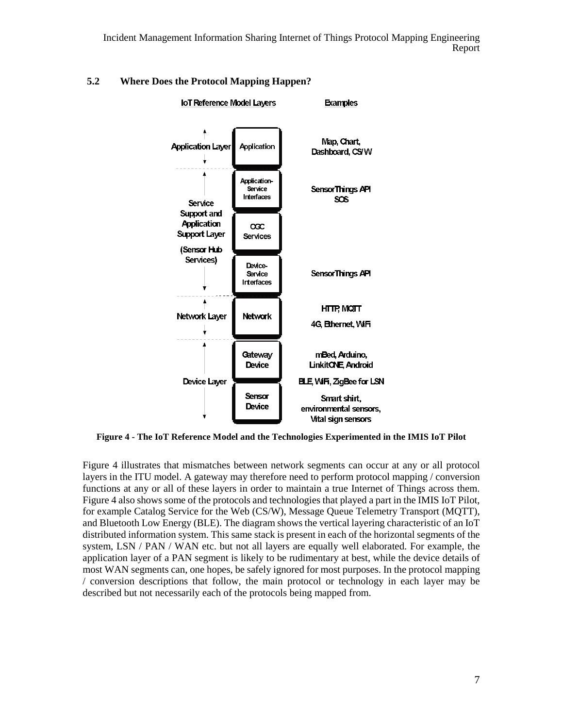

### <span id="page-12-0"></span>**5.2 Where Does the Protocol Mapping Happen?**

**Figure 4 - The IoT Reference Model and the Technologies Experimented in the IMIS IoT Pilot**

Figure 4 illustrates that mismatches between network segments can occur at any or all protocol layers in the ITU model. A gateway may therefore need to perform protocol mapping / conversion functions at any or all of these layers in order to maintain a true Internet of Things across them. Figure 4 also shows some of the protocols and technologies that played a part in the IMIS IoT Pilot, for example Catalog Service for the Web (CS/W), Message Queue Telemetry Transport (MQTT), and Bluetooth Low Energy (BLE). The diagram shows the vertical layering characteristic of an IoT distributed information system. This same stack is present in each of the horizontal segments of the system, LSN / PAN / WAN etc. but not all layers are equally well elaborated. For example, the application layer of a PAN segment is likely to be rudimentary at best, while the device details of most WAN segments can, one hopes, be safely ignored for most purposes. In the protocol mapping / conversion descriptions that follow, the main protocol or technology in each layer may be described but not necessarily each of the protocols being mapped from.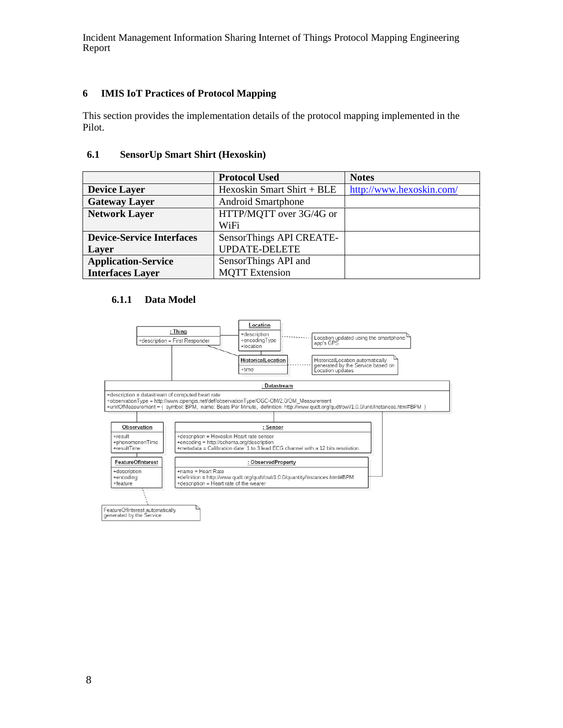### <span id="page-13-0"></span>**6 IMIS IoT Practices of Protocol Mapping**

This section provides the implementation details of the protocol mapping implemented in the Pilot.

#### <span id="page-13-1"></span>**6.1 SensorUp Smart Shirt (Hexoskin)**

|                                  | <b>Protocol Used</b>       | <b>Notes</b>             |
|----------------------------------|----------------------------|--------------------------|
| <b>Device Layer</b>              | Hexoskin Smart Shirt + BLE | http://www.hexoskin.com/ |
| <b>Gateway Layer</b>             | <b>Android Smartphone</b>  |                          |
| <b>Network Layer</b>             | HTTP/MQTT over 3G/4G or    |                          |
|                                  | WiFi                       |                          |
| <b>Device-Service Interfaces</b> | SensorThings API CREATE-   |                          |
| Layer                            | <b>UPDATE-DELETE</b>       |                          |
| <b>Application-Service</b>       | SensorThings API and       |                          |
| <b>Interfaces Layer</b>          | <b>MOTT</b> Extension      |                          |

#### **6.1.1 Data Model**

<span id="page-13-2"></span>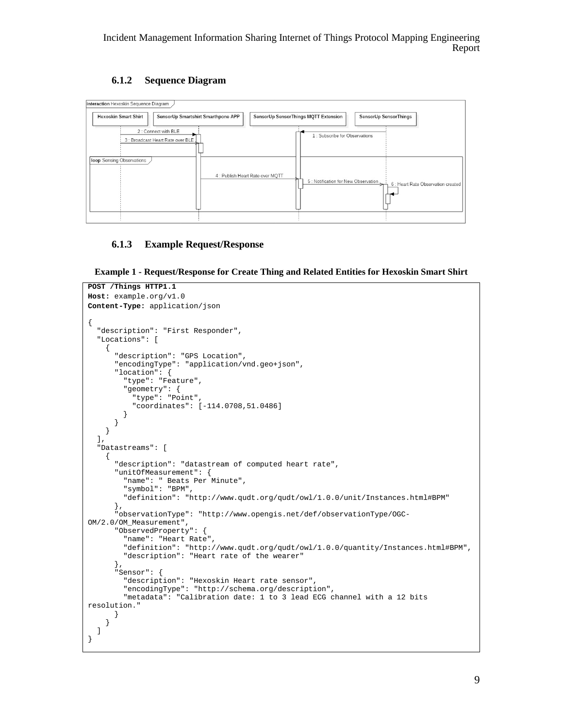### **6.1.2 Sequence Diagram**

<span id="page-14-0"></span>

#### <span id="page-14-1"></span>**6.1.3 Example Request/Response**

**Example 1 - Request/Response for Create Thing and Related Entities for Hexoskin Smart Shirt**

```
POST /Things HTTP1.1
Host: example.org/v1.0
Content-Type: application/json
{ 
   "description": "First Responder",
   "Locations": [
     { 
       "description": "GPS Location",
       "encodingType": "application/vnd.geo+json",
       "location": {
         "type": "Feature",
         "geometry": {
           "type": "Point",
         "coordinates": [-114.0708,51.0486] 
 } 
 } 
     } 
   ],
   "Datastreams": [
     { 
       "description": "datastream of computed heart rate",
       "unitOfMeasurement": {
         "name": " Beats Per Minute",
         "symbol": "BPM",
         "definition": "http://www.qudt.org/qudt/owl/1.0.0/unit/Instances.html#BPM"
       },
       "observationType": "http://www.opengis.net/def/observationType/OGC-
OM/2.0/OM_Measurement",
       "ObservedProperty": {
         "name": "Heart Rate",
         "definition": "http://www.qudt.org/qudt/owl/1.0.0/quantity/Instances.html#BPM",
         "description": "Heart rate of the wearer"
       },
       "Sensor": {
         "description": "Hexoskin Heart rate sensor",
         "encodingType": "http://schema.org/description",
         "metadata": "Calibration date: 1 to 3 lead ECG channel with a 12 bits 
resolution."
 } 
     } 
  ] 
}
```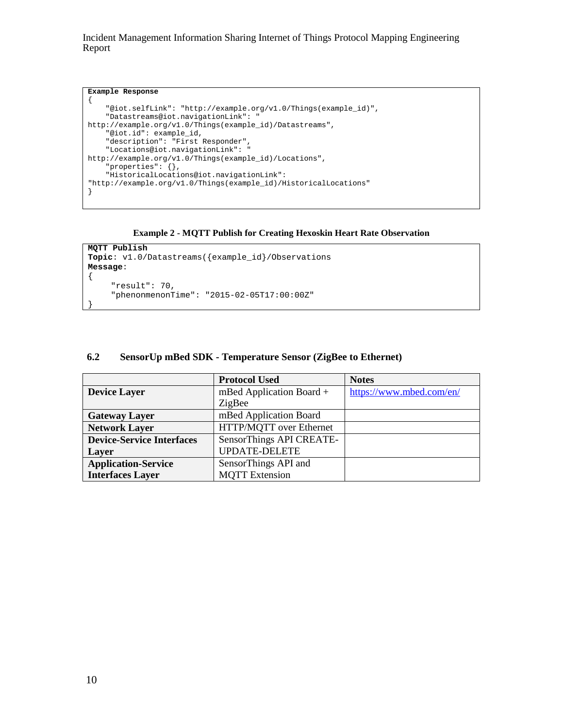```
Example Response
{ 
     "@iot.selfLink": "http://example.org/v1.0/Things(example_id)",
     "Datastreams@iot.navigationLink": "
http://example.org/v1.0/Things(example_id)/Datastreams",
     "@iot.id": example_id, 
     "description": "First Responder",
     "Locations@iot.navigationLink": "
http://example.org/v1.0/Things(example_id)/Locations",
     "properties": {},
     "HistoricalLocations@iot.navigationLink": 
"http://example.org/v1.0/Things(example_id)/HistoricalLocations"
}
```
#### **Example 2 - MQTT Publish for Creating Hexoskin Heart Rate Observation**

```
MQTT Publish
Topic: v1.0/Datastreams({example_id}/Observations 
Message: 
{ 
      "result": 70, 
      "phenonmenonTime": "2015-02-05T17:00:00Z"
```
#### <span id="page-15-0"></span>**6.2 SensorUp mBed SDK - Temperature Sensor (ZigBee to Ethernet)**

|                                  | <b>Protocol Used</b>       | <b>Notes</b>             |
|----------------------------------|----------------------------|--------------------------|
| <b>Device Layer</b>              | mBed Application Board $+$ | https://www.mbed.com/en/ |
|                                  | ZigBee                     |                          |
| <b>Gateway Layer</b>             | mBed Application Board     |                          |
| <b>Network Layer</b>             | HTTP/MQTT over Ethernet    |                          |
| <b>Device-Service Interfaces</b> | SensorThings API CREATE-   |                          |
| Layer                            | <b>UPDATE-DELETE</b>       |                          |
| <b>Application-Service</b>       | SensorThings API and       |                          |
| <b>Interfaces Layer</b>          | <b>MOTT</b> Extension      |                          |

}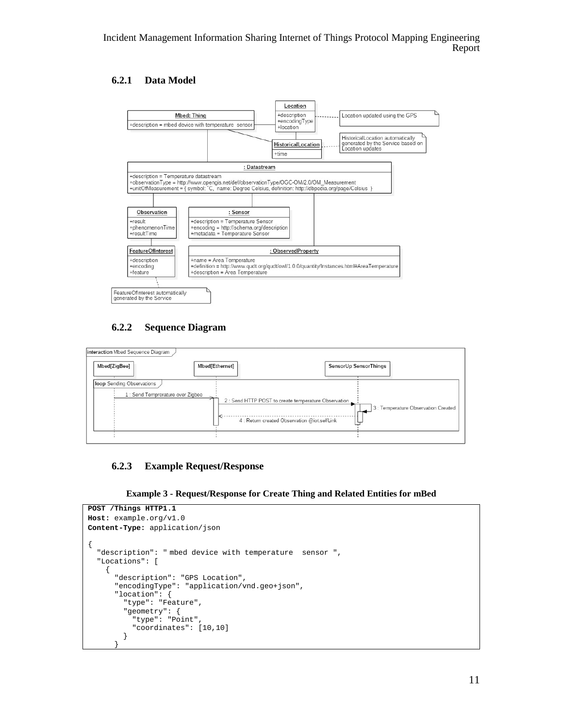### **6.2.1 Data Model**

<span id="page-16-0"></span>

### **6.2.2 Sequence Diagram**

<span id="page-16-1"></span>

### <span id="page-16-2"></span>**6.2.3 Example Request/Response**



```
POST /Things HTTP1.1
Host: example.org/v1.0
Content-Type: application/json
{ 
   "description": " mbed device with temperature sensor ",
   "Locations": [
     { 
       "description": "GPS Location",
       "encodingType": "application/vnd.geo+json",
       "location": {
         "type": "Feature",
         "geometry": {
            "type": "Point",
         "coordinates": [10,10]
 } 
\overline{\phantom{a}}
```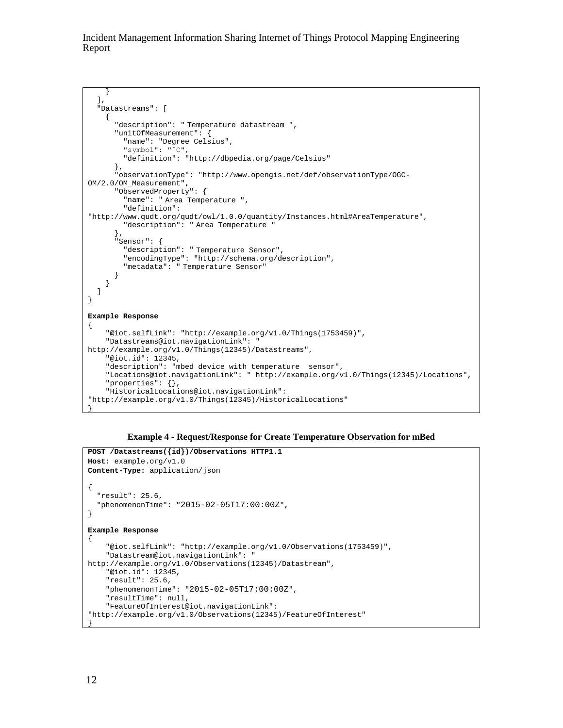```
 }
\Box,
   "Datastreams": [
     { 
       "description": " Temperature datastream ",
       "unitOfMeasurement": {
         "name": "Degree Celsius",
         "symbol": "˚C",
         "definition": "http://dbpedia.org/page/Celsius"
       },
       "observationType": "http://www.opengis.net/def/observationType/OGC-
OM/2.0/OM_Measurement",
       "ObservedProperty": {
         "name": " Area Temperature ",
         "definition": 
"http://www.qudt.org/qudt/owl/1.0.0/quantity/Instances.html#AreaTemperature",
         "description": " Area Temperature "
       },
       "Sensor": {
         "description": " Temperature Sensor",
         "encodingType": "http://schema.org/description",
       "metadata": " Temperature Sensor"
 } 
     } 
  ] 
} 
Example Response
{ 
     "@iot.selfLink": "http://example.org/v1.0/Things(1753459)",
     "Datastreams@iot.navigationLink": " 
http://example.org/v1.0/Things(12345)/Datastreams",
     "@iot.id": 12345,
     "description": "mbed device with temperature sensor",
     "Locations@iot.navigationLink": " http://example.org/v1.0/Things(12345)/Locations",
     "properties": {},
     "HistoricalLocations@iot.navigationLink": 
"http://example.org/v1.0/Things(12345)/HistoricalLocations"
```


```
POST /Datastreams({id})/Observations HTTP1.1
Host: example.org/v1.0
Content-Type: application/json
{ 
   "result": 25.6,
   "phenomenonTime": "2015-02-05T17:00:00Z",
} 
Example Response
\left\{ \right. "@iot.selfLink": "http://example.org/v1.0/Observations(1753459)",
     "Datastream@iot.navigationLink": " 
http://example.org/v1.0/Observations(12345)/Datastream",
     "@iot.id": 12345,
     "result": 25.6, 
     "phenomenonTime": "2015-02-05T17:00:00Z",
     "resultTime": null,
     "FeatureOfInterest@iot.navigationLink": 
"http://example.org/v1.0/Observations(12345)/FeatureOfInterest" 
}
```
}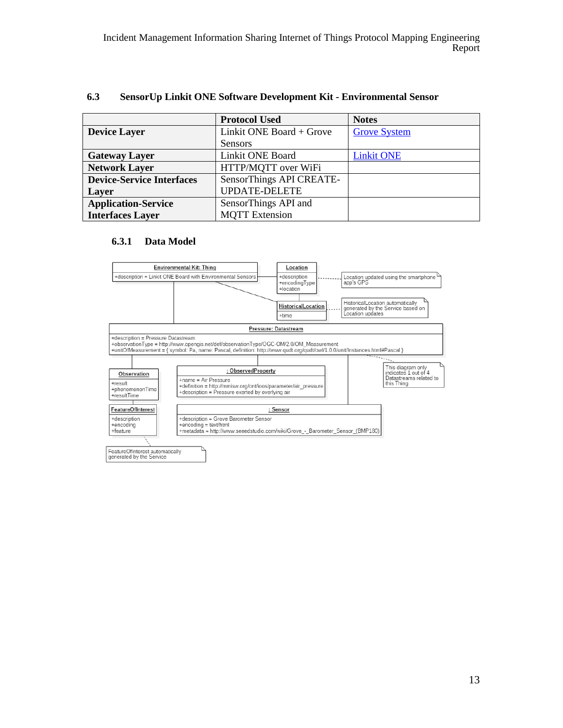|                                  | <b>Protocol Used</b>     | <b>Notes</b>        |
|----------------------------------|--------------------------|---------------------|
| <b>Device Layer</b>              | Linkit ONE Board + Grove | <b>Grove System</b> |
|                                  | <b>Sensors</b>           |                     |
| <b>Gateway Layer</b>             | Linkit ONE Board         | <b>Linkit ONE</b>   |
| <b>Network Layer</b>             | HTTP/MQTT over WiFi      |                     |
| <b>Device-Service Interfaces</b> | SensorThings API CREATE- |                     |
| Layer                            | <b>UPDATE-DELETE</b>     |                     |
| <b>Application-Service</b>       | SensorThings API and     |                     |
| <b>Interfaces Layer</b>          | <b>MOTT</b> Extension    |                     |

#### <span id="page-18-0"></span>**6.3 SensorUp Linkit ONE Software Development Kit - Environmental Sensor**

#### **6.3.1 Data Model**

<span id="page-18-2"></span><span id="page-18-1"></span>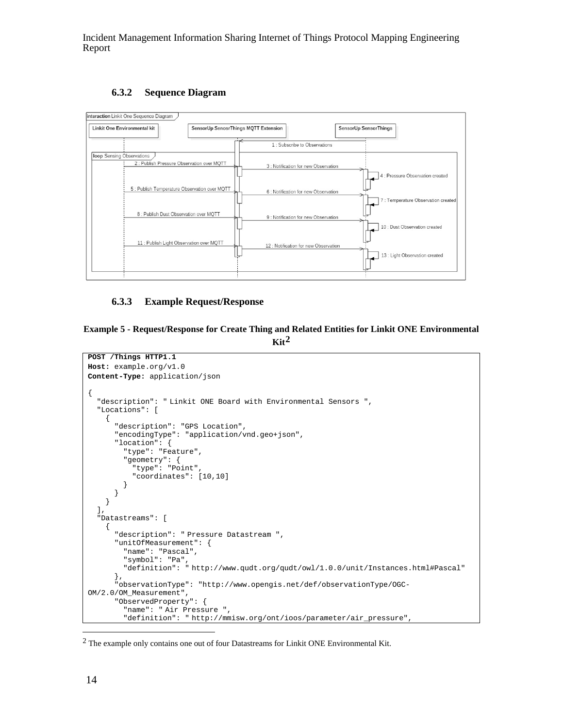#### **6.3.2 Sequence Diagram**

<span id="page-19-0"></span>

#### <span id="page-19-1"></span>**6.3.3 Example Request/Response**

#### **Example 5 - Request/Response for Create Thing and Related Entities for Linkit ONE Environmental**   $\text{Kit}^2$  $\text{Kit}^2$

```
POST /Things HTTP1.1
Host: example.org/v1.0
Content-Type: application/json
{
   "description": " Linkit ONE Board with Environmental Sensors ",
   "Locations": [
\mathcal{L} "description": "GPS Location",
       "encodingType": "application/vnd.geo+json",
       "location": {
         "type": "Feature",
          "geometry": {
            "type": "Point",
            "coordinates": [10,10]
         }
       }
     }
   ],
   "Datastreams": [
\mathcal{A} "description": " Pressure Datastream ",
       "unitOfMeasurement": {
         "name": "Pascal",
         "symbol": "Pa",
         "definition": " http://www.qudt.org/qudt/owl/1.0.0/unit/Instances.html#Pascal"
\qquad \qquad "observationType": "http://www.opengis.net/def/observationType/OGC-
OM/2.0/OM_Measurement",
       "ObservedProperty": {
         "name": " Air Pressure ",
          "definition": " http://mmisw.org/ont/ioos/parameter/air_pressure",
```
<sup>&</sup>lt;sup>2</sup> The example only contains one out of four Datastreams for Linkit ONE Environmental Kit.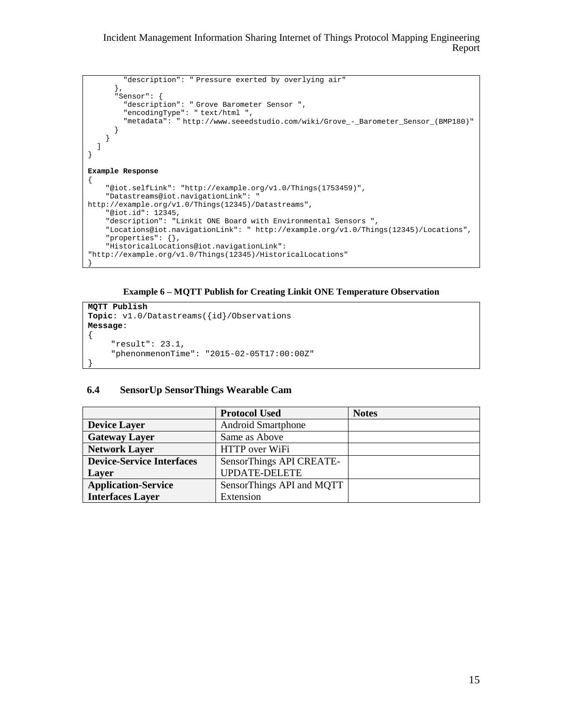```
 "description": " Pressure exerted by overlying air"
       },
       "Sensor": {
         "description": " Grove Barometer Sensor ",
         "encodingType": " text/html ",
         "metadata": " http://www.seeedstudio.com/wiki/Grove_-_Barometer_Sensor_(BMP180)" 
\qquad \qquad } 
   ] 
} 
Example Response
{ 
     "@iot.selfLink": "http://example.org/v1.0/Things(1753459)",
     "Datastreams@iot.navigationLink": " 
http://example.org/v1.0/Things(12345)/Datastreams",
     "@iot.id": 12345,
     "description": "Linkit ONE Board with Environmental Sensors ",
     "Locations@iot.navigationLink": " http://example.org/v1.0/Things(12345)/Locations",
     "properties": {},
     "HistoricalLocations@iot.navigationLink": 
"http://example.org/v1.0/Things(12345)/HistoricalLocations"
}
```


```
MQTT Publish
Topic: v1.0/Datastreams({id}/Observations 
Message: 
{ 
      "result": 23.1, 
      "phenonmenonTime": "2015-02-05T17:00:00Z"
```
#### <span id="page-20-0"></span>**6.4 SensorUp SensorThings Wearable Cam**

}

|                                  | <b>Protocol Used</b>      | <b>Notes</b> |
|----------------------------------|---------------------------|--------------|
| <b>Device Layer</b>              | <b>Android Smartphone</b> |              |
| <b>Gateway Layer</b>             | Same as Above             |              |
| <b>Network Layer</b>             | HTTP over WiFi            |              |
| <b>Device-Service Interfaces</b> | SensorThings API CREATE-  |              |
| Layer                            | <b>UPDATE-DELETE</b>      |              |
| <b>Application-Service</b>       | SensorThings API and MQTT |              |
| <b>Interfaces Layer</b>          | Extension                 |              |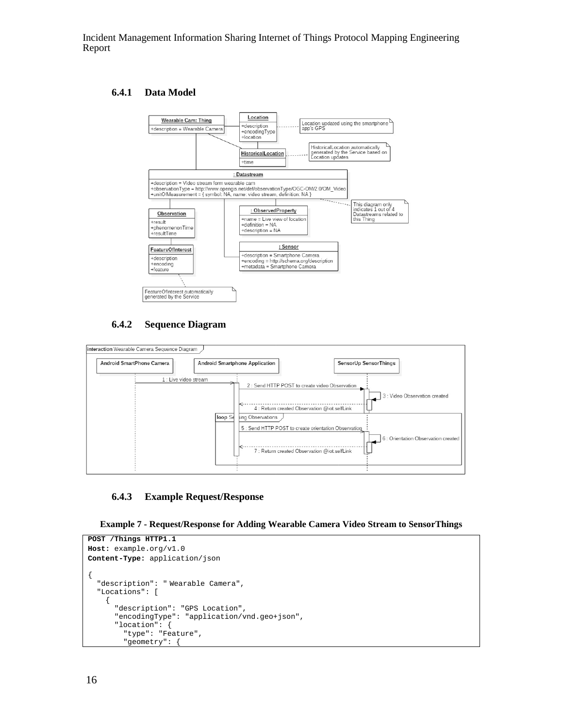#### <span id="page-21-0"></span>**6.4.1 Data Model**



#### **6.4.2 Sequence Diagram**

<span id="page-21-1"></span>

#### <span id="page-21-2"></span>**6.4.3 Example Request/Response**

```
Example 7 - Request/Response for Adding Wearable Camera Video Stream to SensorThings
```

```
POST /Things HTTP1.1
Host: example.org/v1.0
Content-Type: application/json
{
   "description": " Wearable Camera",
   "Locations": [
     {
       "description": "GPS Location",
       "encodingType": "application/vnd.geo+json",
       "location": {
         "type": "Feature",
         "geometry": {
```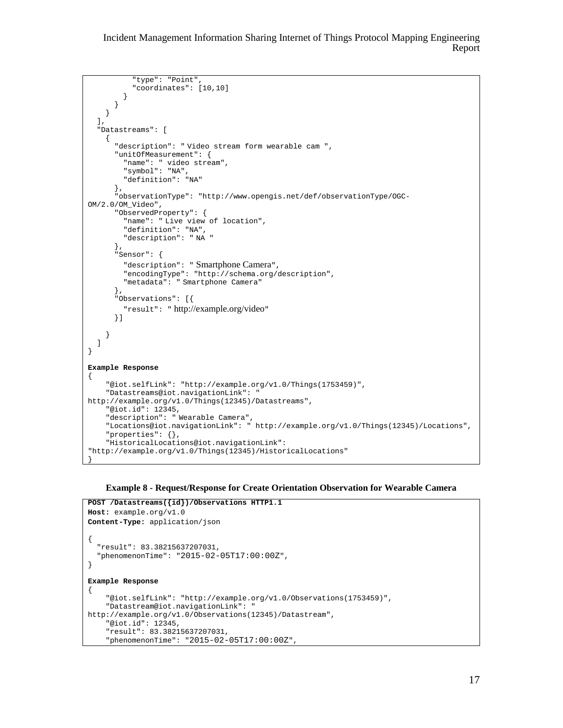```
 "type": "Point",
            "coordinates": [10,10]
          }
       }
     }
   ],
   "Datastreams": [
    \mathcal{L}_{\mathcal{L}_{\mathcal{L}}} "description": " Video stream form wearable cam ",
        "unitOfMeasurement": {
         "name": " video stream",
         "symbol": "NA",
          "definition": "NA"
        },
        "observationType": "http://www.opengis.net/def/observationType/OGC-
OM/2.0/OM_Video",
       "ObservedProperty": {
         "name": " Live view of location",
         "definition": "NA",
          "description": " NA "
        },
        "Sensor": {
         "description": " Smartphone Camera",
          "encodingType": "http://schema.org/description",
          "metadata": " Smartphone Camera"
        },
        "Observations": [{
          "result": " http://example.org/video"
       }]
     }
  ]
}
Example Response
{
     "@iot.selfLink": "http://example.org/v1.0/Things(1753459)",
     "Datastreams@iot.navigationLink": " 
http://example.org/v1.0/Things(12345)/Datastreams",
     "@iot.id": 12345,
     "description": " Wearable Camera",
      "Locations@iot.navigationLink": " http://example.org/v1.0/Things(12345)/Locations",
     "properties": {},
     "HistoricalLocations@iot.navigationLink": 
"http://example.org/v1.0/Things(12345)/HistoricalLocations"
}
```
#### **Example 8 - Request/Response for Create Orientation Observation for Wearable Camera**

```
POST /Datastreams({id})/Observations HTTP1.1
Host: example.org/v1.0
Content-Type: application/json
{
   "result": 83.38215637207031,
   "phenomenonTime": "2015-02-05T17:00:00Z",
}
Example Response
{
     "@iot.selfLink": "http://example.org/v1.0/Observations(1753459)",
     "Datastream@iot.navigationLink": " 
http://example.org/v1.0/Observations(12345)/Datastream",
     "@iot.id": 12345,
     "result": 83.38215637207031,
     "phenomenonTime": "2015-02-05T17:00:00Z",
```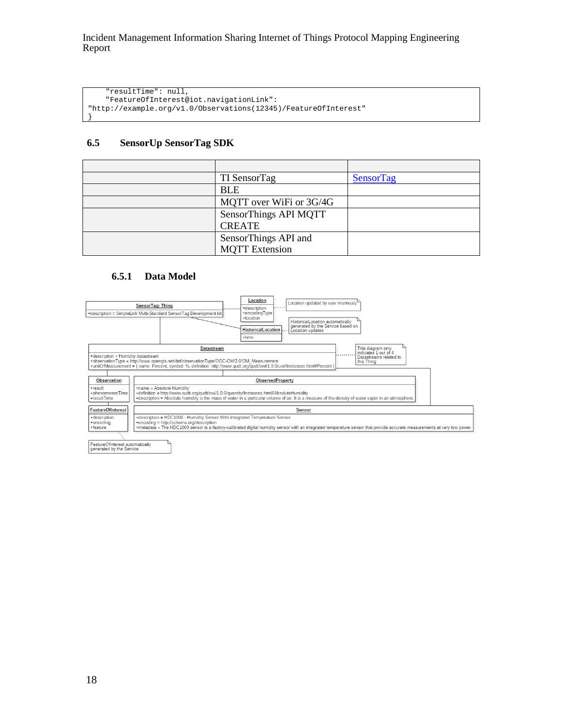"resultTime": null, "FeatureOfInterest@iot.navigationLink": "http://example.org/v1.0/Observations(12345)/FeatureOfInterest"

#### <span id="page-23-0"></span>**6.5 SensorUp SensorTag SDK**

}

|                                  | <b>Protocol Used</b>    | <b>Notes</b> |
|----------------------------------|-------------------------|--------------|
| <b>Device Layer</b>              | TI SensorTag            | SensorTag    |
| <b>Gateway Layer</b>             | <b>BLE</b>              |              |
| <b>Network Layer</b>             | MQTT over WiFi or 3G/4G |              |
| <b>Device-Service Interfaces</b> | SensorThings API MQTT   |              |
| Layer                            | <b>CREATE</b>           |              |
| <b>Application-Service</b>       | SensorThings API and    |              |
| <b>Interfaces Layer</b>          | <b>MOTT</b> Extension   |              |

#### **6.5.1 Data Model**

<span id="page-23-1"></span>

<span id="page-23-2"></span>FeatureOfInterest automatically<br>generated by the Service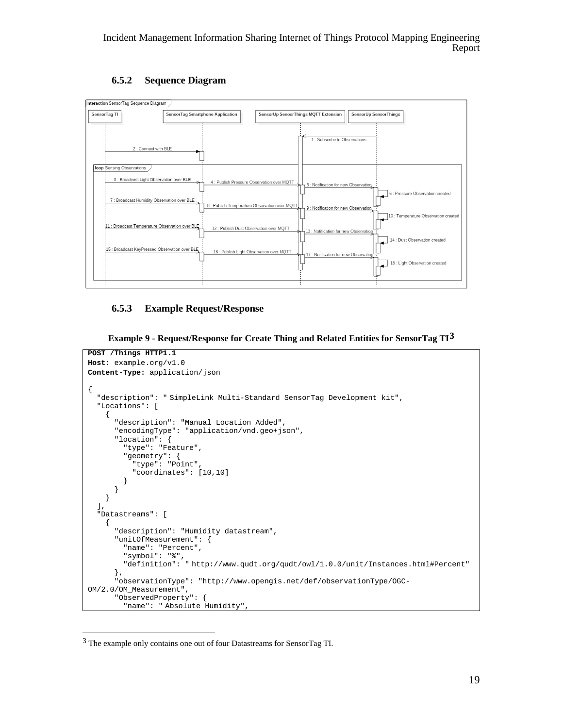### **6.5.2 Sequence Diagram**

<span id="page-24-0"></span>

### <span id="page-24-1"></span>**6.5.3 Example Request/Response**

```
Example 9 - Request/Response for Create Thing and Related Entities for SensorTag TI3
```

```
POST /Things HTTP1.1
Host: example.org/v1.0
Content-Type: application/json
{
   "description": " SimpleLink Multi-Standard SensorTag Development kit",
   "Locations": [
     {
       "description": "Manual Location Added",
       "encodingType": "application/vnd.geo+json",
       "location": {
         "type": "Feature",
         "geometry": {
           "type": "Point",
         "coordinates": [10,10]
 }
 }
     }
   ],
   "Datastreams": [
\mathcal{A} "description": "Humidity datastream",
       "unitOfMeasurement": {
         "name": "Percent",
         "symbol": "%",
         "definition": " http://www.qudt.org/qudt/owl/1.0.0/unit/Instances.html#Percent"
       },
       "observationType": "http://www.opengis.net/def/observationType/OGC-
OM/2.0/OM_Measurement",
       "ObservedProperty": {
         "name": " Absolute Humidity",
```
 <sup>3</sup> The example only contains one out of four Datastreams for SensorTag TI.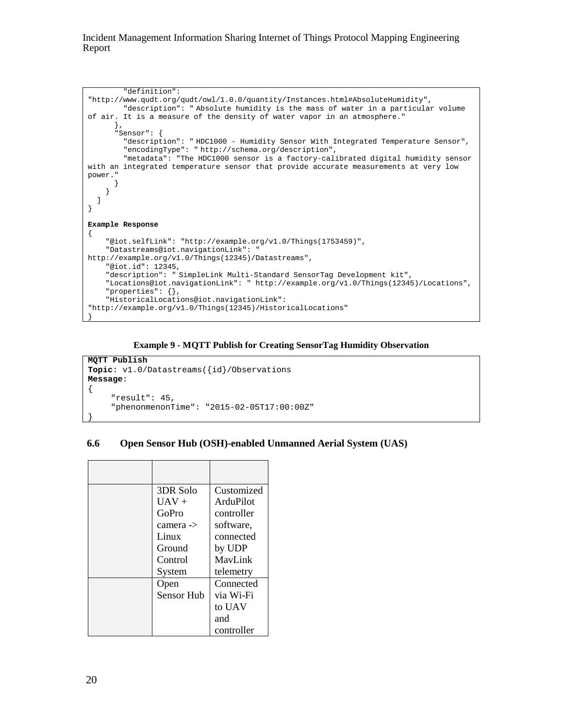```
 "definition": 
"http://www.qudt.org/qudt/owl/1.0.0/quantity/Instances.html#AbsoluteHumidity",
         "description": " Absolute humidity is the mass of water in a particular volume 
of air. It is a measure of the density of water vapor in an atmosphere." 
\qquad \qquad "Sensor": {
         "description": " HDC1000 - Humidity Sensor With Integrated Temperature Sensor",
         "encodingType": " http://schema.org/description",
         "metadata": "The HDC1000 sensor is a factory-calibrated digital humidity sensor 
with an integrated temperature sensor that provide accurate measurements at very low 
power." 
 } 
     } 
   ] 
} 
Example Response
{ 
     "@iot.selfLink": "http://example.org/v1.0/Things(1753459)",
     "Datastreams@iot.navigationLink": " 
http://example.org/v1.0/Things(12345)/Datastreams",
     "@iot.id": 12345,
     "description": " SimpleLink Multi-Standard SensorTag Development kit",
     "Locations@iot.navigationLink": " http://example.org/v1.0/Things(12345)/Locations",
     "properties": {},
     "HistoricalLocations@iot.navigationLink": 
"http://example.org/v1.0/Things(12345)/HistoricalLocations"
}
```


```
MQTT Publish
Topic: v1.0/Datastreams({id}/Observations 
Message: 
\mathcal{L} "result": 45, 
      "phenonmenonTime": "2015-02-05T17:00:00Z" 
}
```
#### <span id="page-25-0"></span>**6.6 Open Sensor Hub (OSH)-enabled Unmanned Aerial System (UAS)**

| 3DR Solo   | Customized |
|------------|------------|
| $IIAV +$   | ArduPilot  |
| GoPro      | controller |
| camera ->  | software,  |
| Linux      | connected  |
| Ground     | by UDP     |
| Control    | MavLink    |
| System     | telemetry  |
| Open       | Connected  |
| Sensor Hub | via Wi-Fi  |
|            | to UAV     |
|            | and        |
|            | controller |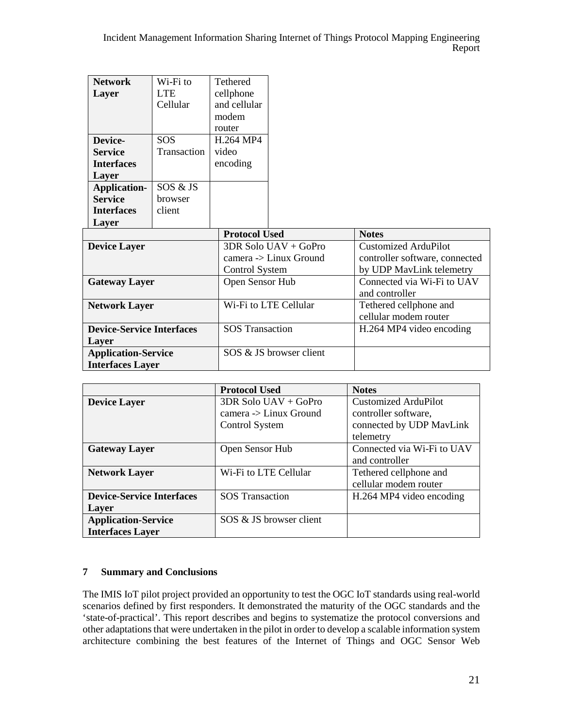|                                                       | <b>Network</b><br>Layer<br>Device-<br><b>Service</b><br><b>Interfaces</b><br>Layer | Wi-Fi to<br><b>LTE</b><br>Cellular<br><b>SOS</b><br>Transaction | <b>Tethered</b><br>cellphone<br>and cellular<br>modem<br>router<br>H.264 MP4<br>video<br>encoding |                                                                                           |              |
|-------------------------------------------------------|------------------------------------------------------------------------------------|-----------------------------------------------------------------|---------------------------------------------------------------------------------------------------|-------------------------------------------------------------------------------------------|--------------|
|                                                       | <b>Application-</b><br><b>Service</b><br><b>Interfaces</b><br>Layer                | SOS & JS<br>browser<br>client                                   |                                                                                                   |                                                                                           |              |
|                                                       |                                                                                    |                                                                 | <b>Protocol Used</b>                                                                              |                                                                                           | <b>Notes</b> |
| <b>Device Layer</b>                                   |                                                                                    | <b>Control System</b>                                           | 3DR Solo UAV + GoPro<br>camera -> Linux Ground                                                    | <b>Customized ArduPilot</b><br>controller software, connected<br>by UDP MavLink telemetry |              |
| <b>Gateway Layer</b>                                  |                                                                                    | Open Sensor Hub                                                 |                                                                                                   | Connected via Wi-Fi to UAV<br>and controller                                              |              |
| <b>Network Layer</b>                                  |                                                                                    |                                                                 | Wi-Fi to LTE Cellular                                                                             | Tethered cellphone and<br>cellular modem router                                           |              |
| <b>Device-Service Interfaces</b><br>Layer             |                                                                                    | <b>SOS Transaction</b>                                          |                                                                                                   | H.264 MP4 video encoding                                                                  |              |
| <b>Application-Service</b><br><b>Interfaces Layer</b> |                                                                                    |                                                                 | SOS & JS browser client                                                                           |                                                                                           |              |

|                                  | <b>Protocol Used</b>                       | <b>Notes</b>               |
|----------------------------------|--------------------------------------------|----------------------------|
| <b>Device Layer</b>              | 3DR Solo UAV + GoPro                       | Customized ArduPilot       |
|                                  | $\alpha$ camera $\rightarrow$ Linux Ground | controller software,       |
|                                  | Control System                             | connected by UDP MavLink   |
|                                  |                                            | telemetry                  |
| <b>Gateway Layer</b>             | Open Sensor Hub                            | Connected via Wi-Fi to UAV |
|                                  |                                            | and controller             |
| <b>Network Layer</b>             | Wi-Fi to LTE Cellular                      | Tethered cellphone and     |
|                                  |                                            | cellular modem router      |
| <b>Device-Service Interfaces</b> | <b>SOS</b> Transaction                     | H.264 MP4 video encoding   |
| Layer                            |                                            |                            |
| <b>Application-Service</b>       | SOS & JS browser client                    |                            |
| <b>Interfaces Layer</b>          |                                            |                            |

### <span id="page-26-0"></span>**7 Summary and Conclusions**

The IMIS IoT pilot project provided an opportunity to test the OGC IoT standards using real-world scenarios defined by first responders. It demonstrated the maturity of the OGC standards and the 'state-of-practical'. This report describes and begins to systematize the protocol conversions and other adaptations that were undertaken in the pilot in order to develop a scalable information system architecture combining the best features of the Internet of Things and OGC Sensor Web